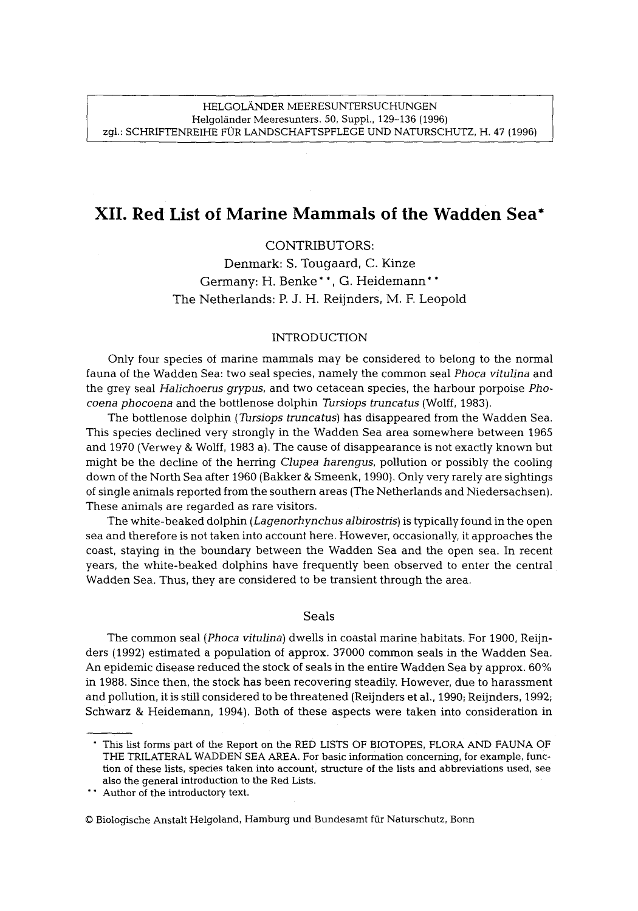# **XII. Red List of Marine Mammals of the Wadden Sea\***

## CONTRIBUTORS:

Denmark: S. Tougaard, C. Kinze Germany: H. Benke\*\*, G. Heidemann\* \* The Netherlands: P. J. H. Reijnders, M. F. Leopold

#### INTRODUCTION

Only four species of marine mammals may be considered to belong to the normal fauna of the Wadden Sea: two seal species, namely the common seal *Phoca vitulina* and the grey seal *Halichoerus grypus,* and two cetacean species, the harbour porpoise *Phocoena phocoena* and the bottlenose dolphin *Tursiops truncatus* (Wolff, 1983).

The bottlenose dolphin *(Tursiops truncatus)* has disappeared from the Wadden Sea. This species declined very strongly in the Wadden Sea area somewhere between 1965 and 1970 (Verwey & Wolff, 1983 a). The cause of disappearance is not exactly known but might be the decline of the herring *Clupea harengus,* pollution or possibly the cooling down of the North Sea after 1960 (Bakker & Smeenk, 1990). Only very rarely are sightings of single animals reported from the southern areas (The Netherlands and Niedersachsen). These animals are regarded as rare visitors.

The white-beaked dolphin *(Lagenorhynchus albirostris)* is typically found in the open sea and therefore is not taken into account here. However, occasionally, it approaches the coast, staying in the boundary between the Wadden Sea and the open sea. In recent years, the white-beaked dolphins have frequently been observed to enter the central Wadden Sea. Thus, they are considered to be transient through the area.

### Seals

The common seal *(Phoca vitulina)* dwells in coastal marine habitats. For 1900, Reijnders (1992) estimated a population of approx. 37000 common seals in the Wadden Sea. An epidemic disease reduced the stock of seals in the entire Wadden Sea by approx. 60% in 1988. Since then, the stock has been recovering steadily. However, due to harassment and pollution, it is still considered to be threatened (Reijnders et al., 1990; Reijnders, 1992; Schwarz & Heidemann, 1994). Both of these aspects were taken into consideration in

<sup>9</sup> This list forms part of the Report on the RED LISTS OF BIOTOPES, FLORA AND FAUNA OF THE TRILATERAL WADDEN SEA AREA. For basic information concerning, for example, function of these lists, species taken into account, structure of the lists and abbreviations used, see also the general introduction to the Red Lists.

**<sup>\*&</sup>quot;** Author of the introductory text.

<sup>9</sup> Biologische Anstalt Helgoland, Hamburg und Bundesamt fiir Naturschutz, Bonn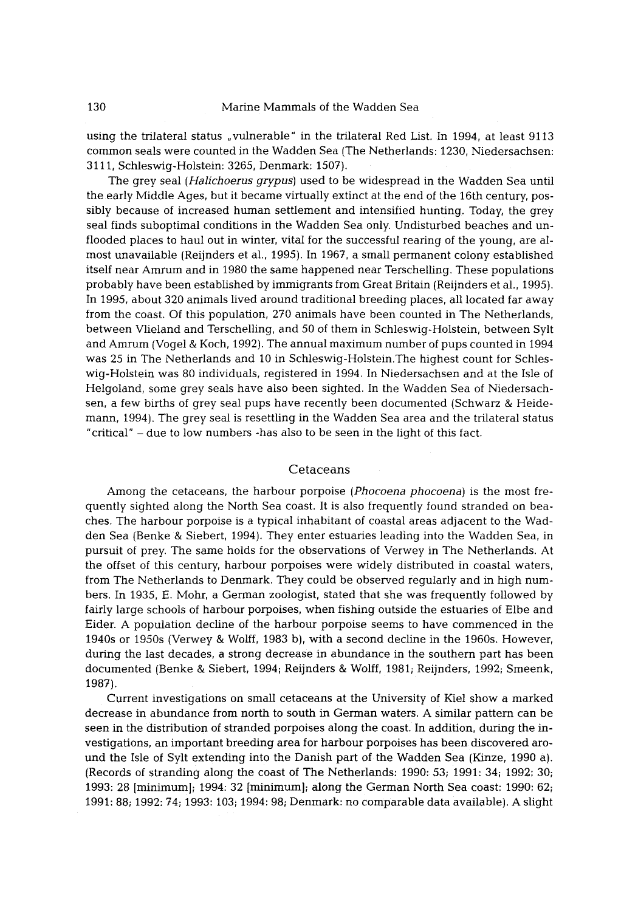using the trilateral status "vulnerable" in the trilateral Red List. In 1994, at least 9113 common seals were counted in the Wadden Sea (The Netherlands: 1230, Niedersachsen: 3111, Schleswig-Holstein: 3265, Denmark: 1507).

The grey seal *(Halichoerus grypus)* used to be widespread in the Wadden Sea until the early Middle Ages, but it became virtually extinct at the end of the 16th century, possibly because of increased human settlement and intensified hunting. Today, the grey seal finds suboptimal conditions in the Wadden Sea only. Undisturbed beaches and unflooded places to haul out in winter, vital for the successful rearing of the young, are almost unavailable (Reijnders et al., 1995). In 1967, a small permanent colony established itself near Amrum and in 1980 the same happened near Terschelling. These populations probably have been established by immigrants from Great Britain (Reijnders et al., 1995). In 1995, about 320 animals lived around traditional breeding places, all located far away from the coast. Of this population, 270 animals have been counted in The Netherlands, between Vlieland and Terschelling, and 50 of them in Schleswig-Holstein, between Sylt and Amrum (Vogel & Koch, 1992). The annual maximum number of pups counted in 1994 was 25 in The Netherlands and 10 in Schleswig-Holstein.The highest count for Schleswig-Holstein was 80 individuals, registered in 1994. In Niedersachsen and at the Isle of Helgoland, some grey seals have also been sighted. In the Wadden Sea of Niedersachsen, a few births of grey seal pups have recently been documented (Schwarz & Heidemann, 1994). The grey seal is resettling in the Wadden Sea area and the trilateral status "critical" - due to low numbers -has also to be seen in the light of this fact.

## Cetaceans

Among the cetaceans, the harbour porpoise *(Phocoena phocoena)* is the most frequently sighted along the North Sea coast. It is also frequently found stranded on beaches. The harbour porpoise is a typical inhabitant of coastal areas adjacent to the Wadden Sea {Benke & Siebert, 1994). They enter estuaries leading into the Wadden Sea, in pursuit of prey. The same holds for the observations of Verwey in The Netherlands. At the offset of this century, harbour porpoises were widely distributed in coastal waters, from The Netherlands to Denmark. They could be observed regularly and in high numbers. In 1935, E. Mohr, a German zoologist, stated that she was frequently followed by fairly large schools of harbour porpoises, when fishing outside the estuaries of Elbe and Eider. A population decline of the harbour porpoise seems to have commenced in the 1940s or 1950s (Verwey & Wolff, 1983 b), with a second decline in the 1960s. However, during the last decades, a strong decrease in abundance in the southern part has been documented (Benke & Siebert, 1994; Reijnders & Wolff, 1981; Reijnders, 1992; Smeenk, 1987).

Current investigations on small cetaceans at the University of Kiel show a marked decrease in abundance from north to south in German waters. A similar pattern can be seen in the distribution of stranded porpoises along the coast. In addition, during the investigations, an important breeding area for harbour porpoises has been discovered around the Isle of Sylt extending into the Danish part of the Wadden Sea (Kinze, 1990 a). (Records of stranding along the coast of The Netherlands: 1990: 53; 1991: 34; 1992: 30; 1993:28 [minimum]; 1994:32 [minimum]; along the German North Sea coast: 1990: 62; 1991: 88; 1992: 74; 1993: 103; 1994: 98; Denmark: no comparable data available). A slight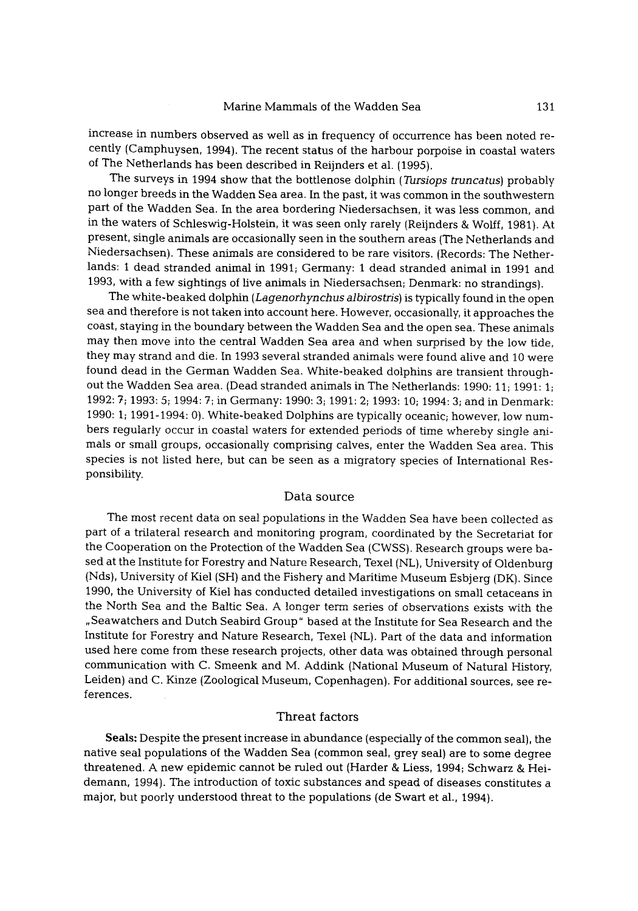increase in numbers observed as well as in frequency of occurrence has been noted recently (Camphuysen, 1994). The recent status of the harbour porpoise in coastal waters of The Netherlands has been described in Reijnders et al. (1995).

The surveys in 1994 show that the bottlenose dolphin *(Tursiops truncatus)* probably no longer breeds in the Wadden Sea area. In the past, it was common in the southwestern part of the Wadden Sea. In the area bordering Niedersachsen, it was less common, and in the waters of Schleswig-Holstein, it was seen only rarely (Reijnders & Wolff, 1981). At present, single animals are occasionally seen in the southern areas (The Netherlands and Niedersachsen). These animals are considered to be rare visitors. {Records: The Netherlands: 1 dead stranded animal in 1991; Germany: 1 dead stranded animal in 1991 and 1993, with a few sightings of live animals in Niedersachsen; Denmark: no strandings).

The white-beaked dolphin *(Lagenorhynchus albirostris)* is typically found in the open sea and therefore is not taken into account here. However, occasionally, it approaches the coast, staying in the boundary between the Wadden Sea and the open sea. These animals may then move into the central Wadden Sea area and when surprised by the low tide, they may strand and die. In 1993 several stranded animals were found alive and 10 were found dead in the German Wadden Sea. White-beaked dolphins are transient throughout the Wadden Sea area. (Dead stranded animals in The Netherlands: 1990: 11; 1991: 1; 1992: 7; 1993: 5; 1994: 7; in Germany: 1990: 3; 1991: 2; 1993: 10; 1994: 3; and in Denmark: 1990: 1; 1991-1994: 0). White-beaked Dolphins are typically oceanic; however, low numbers regularly occur in coastal waters for extended periods of time whereby single animals or small groups, occasionally comprising calves, enter the Wadden Sea area. This species is not listed here, but can be seen as a migratory species of International Responsibility.

## Data source

The most recent data on seal populations in the Wadden Sea have been collected as part of a trilateral research and monitoring program, coordinated by the Secretariat for the Cooperation on the Protection of the Wadden Sea (CWSS). Research groups were based at the Institute for Forestry and Nature Research, Texel (NL), University of Oldenburg (Nds), University of Kiel (SH) and the Fishery and Maritime Museum Esbjerg (DK). Since 1990, the University of Kiel has conducted detailed investigations on small cetaceans in the North Sea and the Baltic Sea. A longer term series of observations exists with the ,Seawatchers and Dutch Seabird Group" based at the Institute for Sea Research and the Institute for Forestry and Nature Research, Texel (NL). Part of the data and information used here come from these research projects, other data was obtained through personal communication with C. Smeenk and M. Addink (National Museum of Natural History, Leiden) and C. Kinze (Zoological Museum, Copenhagen). For additional sources, see references.

## Threat factors

Seals: Despite the present increase in abundance (especially of the common seal), the native seal populations of the Wadden Sea (common seal, grey seal) are to some degree threatened. A new epidemic cannot be ruled out (Harder & Liess, 1994; Schwarz & Heidemann, 1994). The introduction of toxic substances and spead of diseases constitutes a major, but poorly understood threat to the populations (de Swart et al., 1994).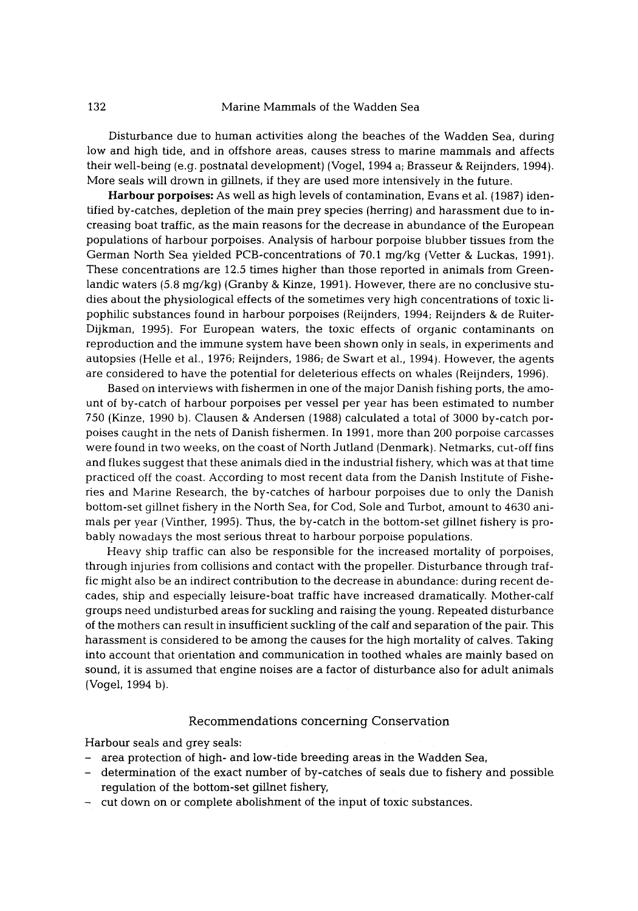Disturbance due to human activities along the beaches of the Wadden Sea, during low and high tide, and in offshore areas, causes stress to marine mammals and affects their well-being (e.g. postnatal development) (Vogel, 1994 a; Brasseur & Reijnders, 1994). More seals will drown in gillnets, if they are used more intensively in the future.

Harbour porpoises: As well as high levels of contamination, Evans et al. (1987) identified by-catches, depletion of the main prey species (herring) and harassment due to increasing boat traffic, as the main reasons for the decrease in abundance of the European populations of harbour porpoises. Analysis of harbour porpoise blubber tissues from the German North Sea yielded PCB-concentrations of 70.1 mg/kg (Vetter & Luckas, I991). These concentrations are 12.5 times higher than those reported in animals from Greenlandic waters (5.8 mg/kg) (Granby & Kinze, 1991). However, there are no conclusive studies about the physiological effects of the sometimes very high concentrations of toxic lipophilic substances found in harbour porpoises (Reijnders, 1994; Reijnders & de Ruiter-Dijkman, 1995). For European waters, the toxic effects of organic contaminants on reproduction and the immune system have been shown only in seals, in experiments and autopsies (Helle et al., 1976; Reijnders, 1986; de Swart et al., 1994). However, the agents are considered to have the potential for deleterious effects on whales (Reijnders, 1996).

Based on interviews with fishermen in one of the major Danish fishing ports, the amount of by-catch of harbour porpoises per vessel per year has been estimated to number 750 (Kinze, 1990 b). Clausen & Andersen (1988) calculated a total of 3000 by-catch porpoises caught in the nets of Danish fishermen. In 1991, more than 200 porpoise carcasses were found in two weeks, on the coast of North Jutland (Denmark). Netmarks, cut-off fins and flukes suggest that these animals died in the industrial fishery, which was at that time practiced off the coast. According to most recent data from the Danish Institute of Fisheries and Marine Research, the by-catches of harbour porpoises due to only the Danish bottom-set gillnet fishery in the North Sea, for Cod, Sole and Turbot, amount to 4630 animals per year (Vinther, 1995). Thus, the by-catch in the bottom-set gillnet fishery is probably nowadays the most serious threat to harbour porpoise populations.

Heavy ship traffic can also be responsible for the increased mortality of porpoises, through injuries from collisions and contact with the propeller. Disturbance through traffic might also be an indirect contribution to the decrease in abundance: during recent decades, ship and especially leisure-boat traffic have increased dramatically. Mother-calf groups need undisturbed areas for suckling and raising the young. Repeated disturbance of the mothers can result in insufficient suckling of the calf and separation of the pair. This harassment is considered to be among the causes for the high mortality of calves. Taking into account that orientation and communication in toothed whales are mainly based on sound, it is assumed that engine noises are a factor of disturbance also for adult animals (Vogel, 1994 b).

## Recommendations concerning Conservation

Harbour seals and grey seals:

- area protection of high- and low-tide breeding areas in the Wadden Sea,
- determination of the exact number of by-catches of seals due to fishery and possible regulation of the bottom-set gillnet fishery,
- cut down on or complete abolishment of the input of toxic substances.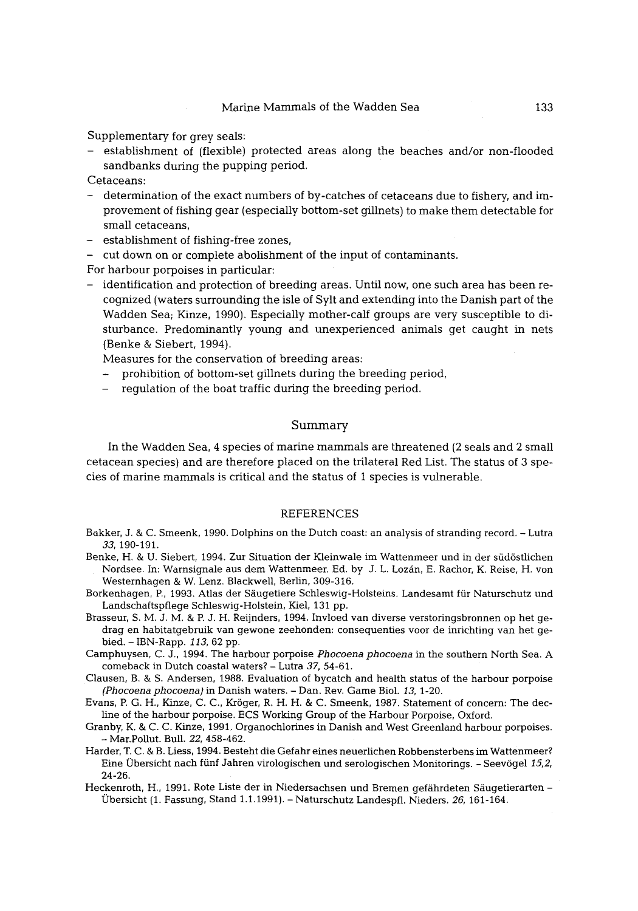Supplementary for grey seals:

- establishment of (flexible) protected areas along the beaches and/or non-flooded sandbanks during the pupping period.

Cetaceans:

- determination of the exact numbers of by-catches of cetaceans due to fishery, and improvement of fishing gear (especially bottom-set gillnets) to make them detectable for small cetaceans,
- establishment of fishing-free zones,
- cut down on or complete abolishment of the input of contaminants.

For harbour porpoises in particular:

- identification and protection of breeding areas. Until now, one such area has been recognized (waters surrounding the isle of Sylt and extending into the Danish part of the Wadden Sea; Kinze, 1990), Especially mother-calf groups are very susceptible to disturbance. Predominantly young and unexperienced animals get caught in nets (Benke & Siebert, 1994).

Measures for the conservation of breeding areas:

- prohibition of bottom-set gillnets during the breeding period,
- regulation of the boat traffic during the breeding period.

## Summary

In the Wadden Sea, 4 species of marine mammals are threatened (2 seals and 2 small cetacean species) and are therefore placed on the trilateral Red List. The status of 3 species of marine mammals is critical and the status of 1 species is vulnerable.

#### REFERENCES

- Bakker, J. & C. Smeenk, 1990. Dolphins on the Dutch coast: an analysis of stranding record. Lutra *33,* 190-191.
- Benke, H. & U. Siebert, 1994. Zur Situation der Kleinwale im Wattenmeer und in der südöstlichen Nordsee. In: Warnsignale aus dem Wattenmeer. Ed. by J. L. Lozán, E. Rachor, K. Reise, H. von Westernhagen & W. Lenz. Blackwell, Berlin, 309-316.
- Borkenhagen, P., 1993. Atlas der Säugetiere Schleswig-Holsteins. Landesamt für Naturschutz und Landschaftspflege Schleswig-Holstein, Kiel, 131 pp.
- Brasseur, S. M. J. M. & P. J. H. Reijnders, 1994. Invloed van diverse verstoringsbronnen op het gedrag en habitatgebruik van gewone zeehonden: consequenties voor de inrichting van bet gebied. - IBN-Rapp. *113,* 62 pp.
- Camphuysen, C. J., 1994. The harbour porpoise *Phocoena phocoena* in the southern North Sea. A comeback in Dutch coastal waters? - Lutra *37,* 54-61.
- Clausen, B. & S. Andersen, 1988. Evaluation of bycatch and health status of the harbour porpoise *(Phocoena phocoena)* in Danish waters. - Dan. Rev. Game Biol. *13,* 1-20.
- Evans, P. G. H., Kinze, C. C., Kröger, R. H. H. & C. Smeenk, 1987. Statement of concern: The decline of the harbour porpoise. ECS Working Group of the Harbour Porpoise, Oxford.
- Granby, K. & C. C. Kinze, 1991, Organochlorines in Danish and West Greenland harbour porpoises. **-** Mar.Pollut. Bull. *22,* 458-462.
- Harder, T. C. & B. Liess, 1994. Besteht die Gefahr eines neuerlichen Robbensterbens im Wattenmeer? Eine Obersicht nach ffinf Jahren virolegischen und serologischen Monitorings. - Seev6gel *15,2,*  24-26.
- Heckenroth, H., 1991. Rote Liste der in Niedersachsen und Bremen gefährdeten Säugetierarten -Obersicht ( 1. Fassung, Stand 1.1.1991). - Naturschutz Landespfl. Nieders. *26,* 161-164.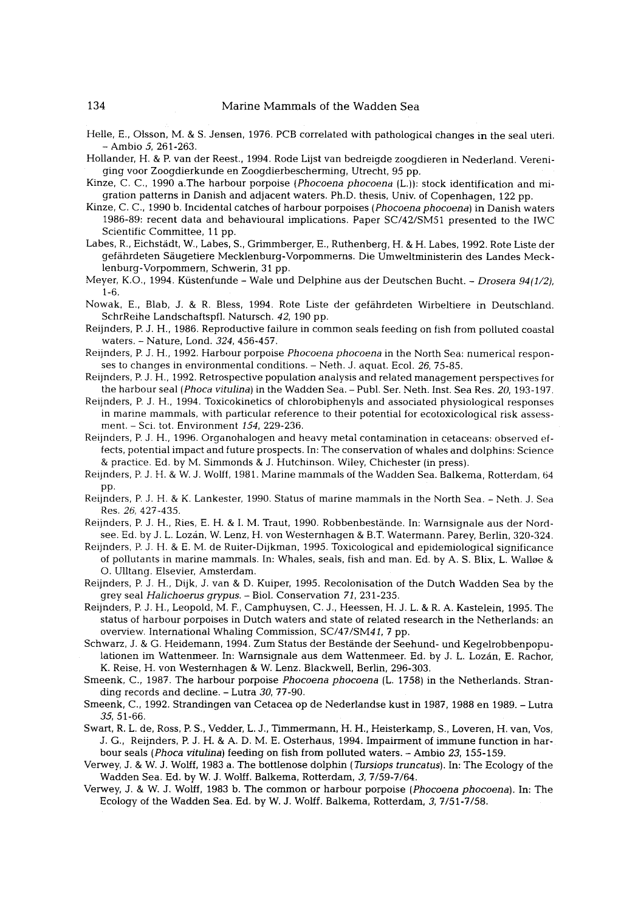- Helle, E., Olsson, M. & S. Jensen, 1976. PCB correlated with pathological changes in the seal uteri.  $-$  Ambio 5, 261-263.
- Hollander, H. & P. van der Reest., 1994. Rode Lijst van bedreigde zoogdieren in Nederland. Vereniging voer Zoogdierkunde en Zoogdierbescherming, Utrecht, 95 pp.
- Kinze, C. C., 1990 a.The harbour porpoise *(Phocoena phocoena (L.))*: stock identification and migration patterns in Danish and adjacent waters. Ph.D. thesis, Univ. of Copenhagen, 122 pp.
- Kinze, C. C., 1990 b. Incidental catches of harbour porpoises *(Phocoena phocoena)* in Danish waters 1986-89: recent data and behavioural implications. Paper SC/42/SM51 presented to the IWC Scientific Committee, 11 pp.
- Labes, R., Eichstädt, W., Labes, S., Grimmberger, E., Ruthenberg, H. & H. Labes, 1992. Rote Liste der gefährdeten Säugetiere Mecklenburg-Vorpommerns. Die Umweltministerin des Landes Mecklenburg-Vorpommern, Schwerin, 31 pp.
- Meyer, K.O., 1994. Küstenfunde Wale und Delphine aus der Deutschen Bucht. *Drosera 94(1/2)*, 1-6.
- Nowak, E., Blab, J. & R. Bless, 1994. Rote Liste der gefährdeten Wirbeltiere in Deutschland. SchrReihe Landschaftspfl. Natursch. *42,* 190 pp.
- Reijnders, P. J. H., 1986. Reproductive failure in common seals feeding on fish from polluted coastal waters. - Nature, Lond. *324,* 456-457.
- Reijnders, P. J. H., 1992. Harbour porpoise *Phocoena phocoena* in the North Sea: numerical responses to changes in environmental conditions. - Neth. J. aquat. Ecol. *26,* 75-85.
- Reijnders, P. J. H., 1992. Retrospective population analysis and related management perspectives for the harbour seal *(Phocd vitulina)* in the Wadden Sea. - Publ. Ser. Neth. Inst. Sea Res. *20,* 193-197.
- Reijnders, P. J. H., 1994. Toxicokinetics of chlorobiphenyls and associated physiological responses in marine mammals, with particular reference to their potential for ecotoxicological risk assessment. - Sci. tot. Environment *154,* 229-236.
- Reijnders, P. J. H., 1996. Organohalogen and heavy metal contamination in cetaceans: observed effects, potential impact and future prospects. In: The conservation of whales and dolphins: Science & practice. Ed. by M. Simmonds & J. Hutchinson. Wiley, Chichester (in press).
- Reijnders, P. J. H. & W. J. Wolff, 1981. Marine mammals of the Wadden Sea. Balkema, Rotterdam, 64 pp.
- Reijnders, P. J. H. & K. Lankester, 1990. Status of marine mammals in the North Sea. Neth. J. Sea Res. *26,* 427-435.
- Reijnders, P. J. H., Ries, E. H. & I. M. Traut, 1990. Robbenbestände. In: Warnsignale aus der Nordsee. Ed. by J. L. Lozán, W. Lenz, H. von Westernhagen & B.T. Watermann. Parey, Berlin, 320-324.
- Reijnders, P. J. H. & E. M. de Ruiter-Dijkman, 1995. Toxicological and epidemiological significance of pollutants in marine mammals. In: Whales, seals, fish and man. Ed. by A. S. Blix, L. Walloe & O. Ulltang. Elsevier, Amsterdam.
- Reijnders, P. J. H., Dijk, J. van & D. Kuiper, 1995. Recolonisation of the Dutch Wadden Sea by the grey seal *Halichoerus grypus. -* Biol. Conservation *71,231-235.*
- Reijnders, P. J. H., Leopold, M. F., Camphuysen, C. J., Heessen, H. J. L. & R. A. Kastelein, 1995. The status of harbour porpoises in Dutch waters and state of related research in the Netherlands: an overview. International Whaling Commission, *SC/47/SM4I, 7* pp.
- Schwarz, J. & G. Heidemann, 1994. Zum Status der Bestande der Seehund- und Kegelrobbenpopulationen im Wattenmeer. In: Warnsignale aus dem Wattenmeer. Ed. by J. L. Lozán, E. Rachor, K. Reise, H. von Westernhagen & W. Lenz. BlackweU, Berlin, 296-303.
- Smeenk, C., 1987. The harbour porpoise *Phocoena phocoena* (L. 1758) in the Netherlands. Stranding records and decline. - Lutra *30,* 77-90.
- Smeenk, C., 1992. Strandingen van Cetacea op de Nederlandse kust in 1987, 1988 en 1989. Lutra *35,* 51-66.
- Swart, R. L. de, Ross, P. S., Vedder, L. J., Timmermann, H. H., Heisterkamp, S., Loveren, H. van, Vos, J.G., Reijnders, P. J. H. & A. D. M. E, Osterhaus, 1994. Impairment of immune function in harbour seals *(Phoca vitulina)* feeding on fish from polluted waters, - Ambio *23,* 155-159.
- Verwey, J. & W. J. Wolff, 1983 a. The bottlenose dolphin *(Tursiops truncatus).* In: The Ecology of the Wadden Sea. Ed. by W. J. Wolff. Balkema, Rotterdam, 3, 7/59-7/64.
- Verwey, J. & W. J. Wolff, 1983 b. The common or harbour porpoise *(Phocoena phocoena).* In: The Ecology of the Wadden Sea. Ed. by W. J. Wolff. Balkema, Rotterdam, 3, 7/51-7/58.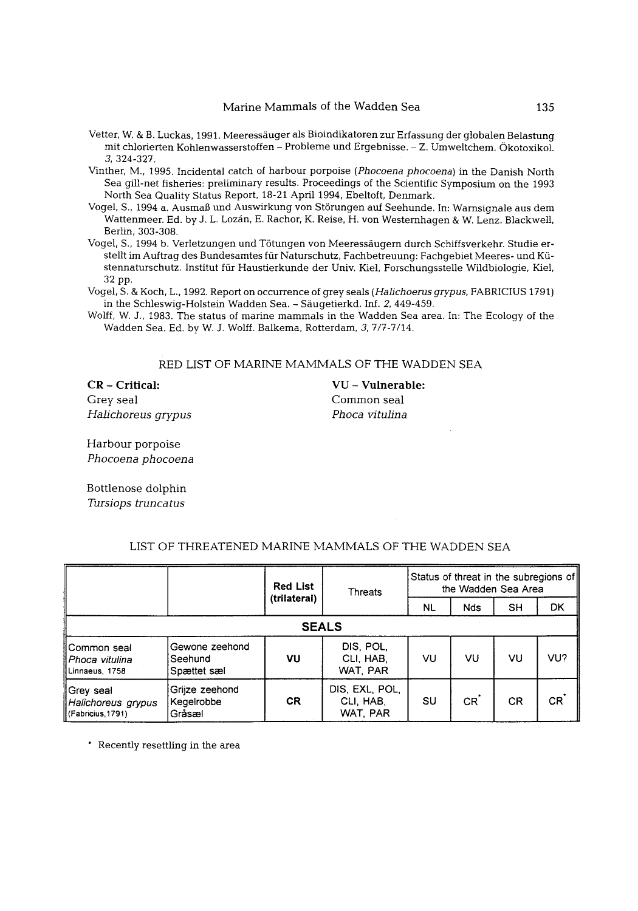- Vetter, W. & B. Luckas, 1991. Meeressäuger als Bioindikatoren zur Erfassung der globalen Belastung mit chlorierten Kohlenwasserstoffen - Probleme und Ergebnisse. - Z. Umweltchem. Okotoxikol. 3, 324-327.
- Vinther, M., 1995. Incidental catch of harbour porpoise *(Phocoena phocoena)* in the Danish North Sea gill-net fisheries: preliminary results. Proceedings of the Scientific Symposium on the 1993 North Sea Quality Status Report, 18-21 April 1994, Ebeltoft, Denmark.
- Vogel, S., 1994 a. Ausmaß und Auswirkung von Störungen auf Seehunde. In: Warnsignale aus dem .<br>Wattenmeer. Ed. by J. L. Lozán, E. Rachor, K. Reise, H. von Westernhagen & W. Lenz. Blackwell, Berlin, 303-308.
- Vogel, S., 1994 b. Verletzungen und Tötungen von Meeressäugern durch Schiffsverkehr. Studie erstellt im Auftrag des Bundesamtes für Naturschutz, Fachbetreuung: Fachgebiet Meeres- und Küstennaturschutz. Institut ffir Haustierkunde der Univ. Kiel, Forschungsstelle Wildbiologie, Kiel, 32 pp.
- Vogel, S. & Koch, L., 1992. Report on occurrence of grey seals *(Hahchoerus grypus,* FABRICIUS 1791) in the Schleswig-Holstein Wadden Sea. - Säugetierkd. Inf. 2, 449-459.
- Wolff, W. J., 1983. The status of marine mammals in the Wadden Sea area. In: The Ecology of the Wadden Sea. Ed. by W. J. Wolff. Balkema, Rotterdam, 3, 7/7-7/14.

RED LIST OF MARINE MAMMALS OF THE WADDEN SEA

CR - Critical: VU - **Vulnerable:**  Grey seal Common seal *Halichoreus grypus Phoca vitulina* 

Harbour porpoise *Phocoena phocoena* 

Bottlenose dolphin *Tursiops truncatus* 

|                                                      |                                           | <b>Red List</b><br>(trilateral) | Threats                                 | Status of threat in the subregions of<br>the Wadden Sea Area |           |    |                 |  |  |  |  |
|------------------------------------------------------|-------------------------------------------|---------------------------------|-----------------------------------------|--------------------------------------------------------------|-----------|----|-----------------|--|--|--|--|
|                                                      |                                           |                                 |                                         | NL                                                           | Nds       | SH | <b>DK</b>       |  |  |  |  |
| <b>SEALS</b>                                         |                                           |                                 |                                         |                                                              |           |    |                 |  |  |  |  |
| llCommon seal<br>ll Phoca vitulina<br>Linnaeus 1758  | Gewone zeehond<br>Seehund:<br>Spættet sæl | VU                              | DIS, POL,<br>CLI, HAB,<br>WAT PAR       | VU                                                           | VU        | VU | VU?             |  |  |  |  |
| ∥Grey seal<br>Halichoreus grypus<br>(Fabricius.1791) | Grijze zeehond<br>Kegelrobbe<br>Gråsæl    | CR.                             | DIS, EXL, POL.<br>CLI, HAB,<br>WAT, PAR | SU                                                           | <b>CR</b> | CR | CR <sup>1</sup> |  |  |  |  |

## LIST OF THREATENED MARINE MAMMALS OF THE WADDEN SEA

\* Recently resettling in the area